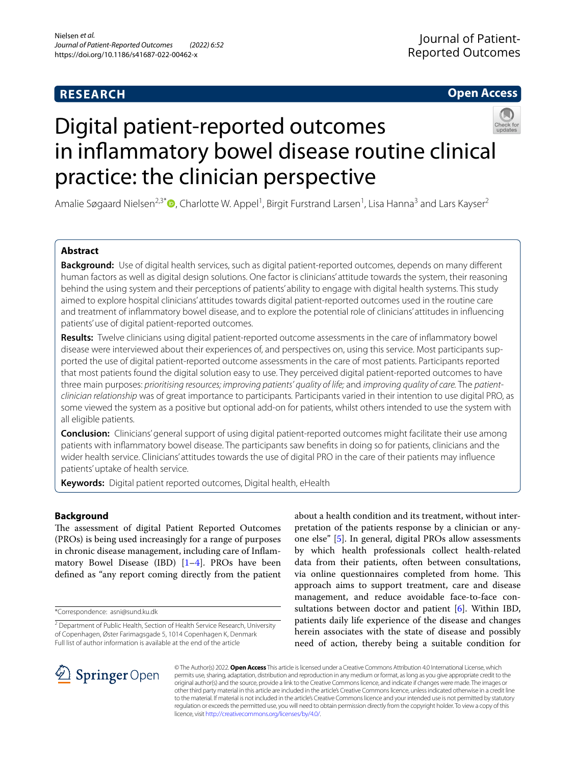# **RESEARCH**

# **Open Access**



# Digital patient-reported outcomes in infammatory bowel disease routine clinical practice: the clinician perspective

Amalie Søgaard Nielsen<sup>2,3[\\*](http://orcid.org/0000-0002-2884-3902)</sup>®, Charlotte W. Appel<sup>1</sup>, Birgit Furstrand Larsen<sup>1</sup>, Lisa Hanna<sup>3</sup> and Lars Kayser<sup>2</sup>

# **Abstract**

**Background:** Use of digital health services, such as digital patient-reported outcomes, depends on many diferent human factors as well as digital design solutions. One factor is clinicians' attitude towards the system, their reasoning behind the using system and their perceptions of patients' ability to engage with digital health systems. This study aimed to explore hospital clinicians' attitudes towards digital patient-reported outcomes used in the routine care and treatment of infammatory bowel disease, and to explore the potential role of clinicians' attitudes in infuencing patients' use of digital patient-reported outcomes.

**Results:** Twelve clinicians using digital patient-reported outcome assessments in the care of infammatory bowel disease were interviewed about their experiences of, and perspectives on, using this service. Most participants supported the use of digital patient-reported outcome assessments in the care of most patients. Participants reported that most patients found the digital solution easy to use. They perceived digital patient-reported outcomes to have three main purposes: *prioritising resources; improving patients' quality of life;* and *improving quality of care.* The *patientclinician relationship* was of great importance to participants*.* Participants varied in their intention to use digital PRO, as some viewed the system as a positive but optional add-on for patients, whilst others intended to use the system with all eligible patients.

**Conclusion:** Clinicians' general support of using digital patient-reported outcomes might facilitate their use among patients with infammatory bowel disease. The participants saw benefts in doing so for patients, clinicians and the wider health service. Clinicians' attitudes towards the use of digital PRO in the care of their patients may infuence patients' uptake of health service.

**Keywords:** Digital patient reported outcomes, Digital health, eHealth

# **Background**

The assessment of digital Patient Reported Outcomes (PROs) is being used increasingly for a range of purposes in chronic disease management, including care of Infammatory Bowel Disease (IBD)  $[1-4]$  $[1-4]$ . PROs have been defned as "any report coming directly from the patient

\*Correspondence: asni@sund.ku.dk

about a health condition and its treatment, without interpretation of the patients response by a clinician or anyone else" [\[5](#page-9-2)]. In general, digital PROs allow assessments by which health professionals collect health-related data from their patients, often between consultations, via online questionnaires completed from home. This approach aims to support treatment, care and disease management, and reduce avoidable face-to-face consultations between doctor and patient  $[6]$  $[6]$ . Within IBD, patients daily life experience of the disease and changes herein associates with the state of disease and possibly need of action, thereby being a suitable condition for



© The Author(s) 2022. **Open Access** This article is licensed under a Creative Commons Attribution 4.0 International License, which permits use, sharing, adaptation, distribution and reproduction in any medium or format, as long as you give appropriate credit to the original author(s) and the source, provide a link to the Creative Commons licence, and indicate if changes were made. The images or other third party material in this article are included in the article's Creative Commons licence, unless indicated otherwise in a credit line to the material. If material is not included in the article's Creative Commons licence and your intended use is not permitted by statutory regulation or exceeds the permitted use, you will need to obtain permission directly from the copyright holder. To view a copy of this licence, visit [http://creativecommons.org/licenses/by/4.0/.](http://creativecommons.org/licenses/by/4.0/)

<sup>&</sup>lt;sup>2</sup> Department of Public Health, Section of Health Service Research, University of Copenhagen, Øster Farimagsgade 5, 1014 Copenhagen K, Denmark Full list of author information is available at the end of the article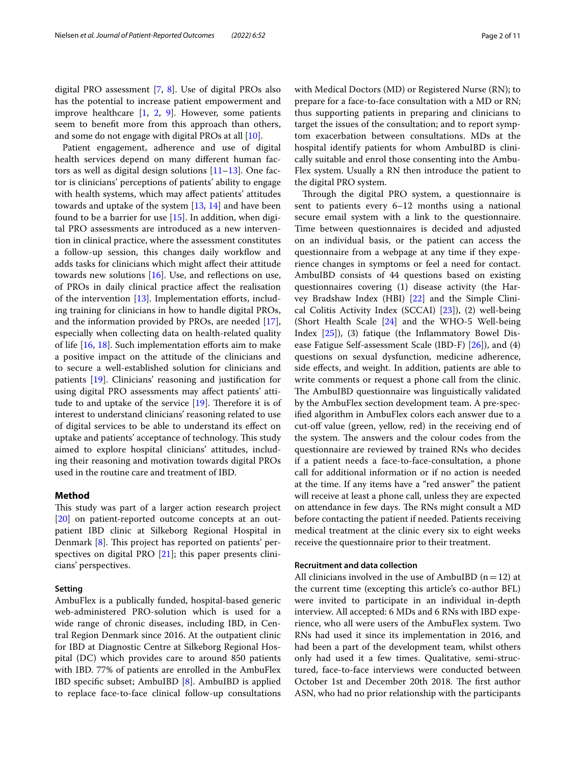digital PRO assessment [[7,](#page-9-4) [8\]](#page-9-5). Use of digital PROs also has the potential to increase patient empowerment and improve healthcare [[1,](#page-9-0) [2](#page-9-6), [9\]](#page-9-7). However, some patients seem to beneft more from this approach than others, and some do not engage with digital PROs at all [[10](#page-9-8)].

Patient engagement, adherence and use of digital health services depend on many diferent human factors as well as digital design solutions [\[11](#page-9-9)[–13\]](#page-9-10). One factor is clinicians' perceptions of patients' ability to engage with health systems, which may afect patients' attitudes towards and uptake of the system [[13,](#page-9-10) [14\]](#page-9-11) and have been found to be a barrier for use  $[15]$  $[15]$ . In addition, when digital PRO assessments are introduced as a new intervention in clinical practice, where the assessment constitutes a follow-up session, this changes daily workflow and adds tasks for clinicians which might afect their attitude towards new solutions  $[16]$  $[16]$  $[16]$ . Use, and reflections on use, of PROs in daily clinical practice afect the realisation of the intervention  $[13]$  $[13]$ . Implementation efforts, including training for clinicians in how to handle digital PROs, and the information provided by PROs, are needed [\[17](#page-9-14)], especially when collecting data on health-related quality of life [\[16,](#page-9-13) [18\]](#page-10-0). Such implementation eforts aim to make a positive impact on the attitude of the clinicians and to secure a well-established solution for clinicians and patients [[19](#page-10-1)]. Clinicians' reasoning and justifcation for using digital PRO assessments may afect patients' attitude to and uptake of the service  $[19]$  $[19]$ . Therefore it is of interest to understand clinicians' reasoning related to use of digital services to be able to understand its efect on uptake and patients' acceptance of technology. This study aimed to explore hospital clinicians' attitudes, including their reasoning and motivation towards digital PROs used in the routine care and treatment of IBD.

# **Method**

This study was part of a larger action research project [[20\]](#page-10-2) on patient-reported outcome concepts at an outpatient IBD clinic at Silkeborg Regional Hospital in Denmark  $[8]$  $[8]$ . This project has reported on patients' perspectives on digital PRO [[21\]](#page-10-3); this paper presents clinicians' perspectives.

# **Setting**

AmbuFlex is a publically funded, hospital-based generic web-administered PRO-solution which is used for a wide range of chronic diseases, including IBD, in Central Region Denmark since 2016. At the outpatient clinic for IBD at Diagnostic Centre at Silkeborg Regional Hospital (DC) which provides care to around 850 patients with IBD. 77% of patients are enrolled in the AmbuFlex IBD specifc subset; AmbuIBD [\[8](#page-9-5)]. AmbuIBD is applied to replace face-to-face clinical follow-up consultations with Medical Doctors (MD) or Registered Nurse (RN); to prepare for a face-to-face consultation with a MD or RN; thus supporting patients in preparing and clinicians to target the issues of the consultation; and to report symptom exacerbation between consultations. MDs at the hospital identify patients for whom AmbuIBD is clinically suitable and enrol those consenting into the Ambu-Flex system. Usually a RN then introduce the patient to the digital PRO system.

Through the digital PRO system, a questionnaire is sent to patients every 6–12 months using a national secure email system with a link to the questionnaire. Time between questionnaires is decided and adjusted on an individual basis, or the patient can access the questionnaire from a webpage at any time if they experience changes in symptoms or feel a need for contact. AmbuIBD consists of 44 questions based on existing questionnaires covering (1) disease activity (the Harvey Bradshaw Index (HBI) [[22\]](#page-10-4) and the Simple Clinical Colitis Activity Index (SCCAI) [[23\]](#page-10-5)), (2) well-being (Short Health Scale [[24\]](#page-10-6) and the WHO-5 Well-being Index [\[25\]](#page-10-7)), (3) fatique (the Infammatory Bowel Disease Fatigue Self-assessment Scale (IBD-F) [[26](#page-10-8)]), and (4) questions on sexual dysfunction, medicine adherence, side efects, and weight. In addition, patients are able to write comments or request a phone call from the clinic. The AmbuIBD questionnaire was linguistically validated by the AmbuFlex section development team. A pre-specifed algorithm in AmbuFlex colors each answer due to a cut-off value (green, yellow, red) in the receiving end of the system. The answers and the colour codes from the questionnaire are reviewed by trained RNs who decides if a patient needs a face-to-face-consultation, a phone call for additional information or if no action is needed at the time. If any items have a "red answer" the patient will receive at least a phone call, unless they are expected on attendance in few days. The RNs might consult a MD before contacting the patient if needed. Patients receiving medical treatment at the clinic every six to eight weeks receive the questionnaire prior to their treatment.

## **Recruitment and data collection**

All clinicians involved in the use of AmbuIBD  $(n=12)$  at the current time (excepting this article's co-author BFL) were invited to participate in an individual in-depth interview. All accepted: 6 MDs and 6 RNs with IBD experience, who all were users of the AmbuFlex system. Two RNs had used it since its implementation in 2016, and had been a part of the development team, whilst others only had used it a few times. Qualitative, semi-structured, face-to-face interviews were conducted between October 1st and December 20th 2018. The first author ASN, who had no prior relationship with the participants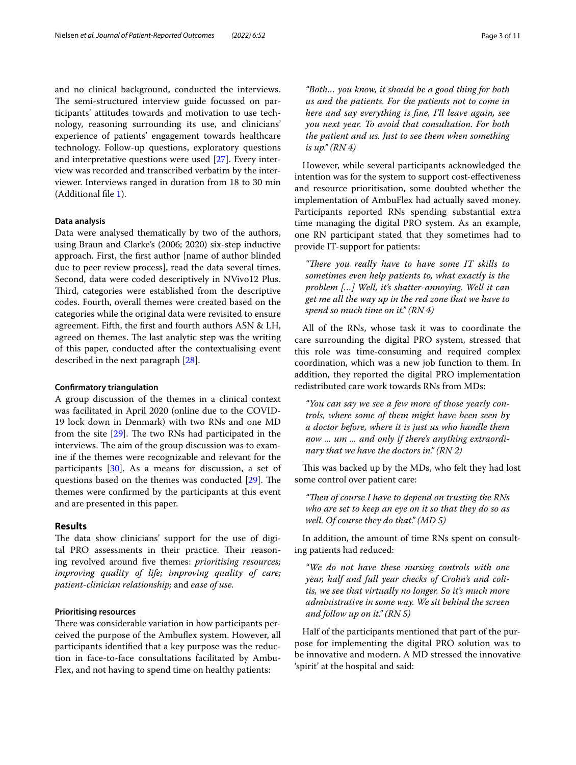and no clinical background, conducted the interviews. The semi-structured interview guide focussed on participants' attitudes towards and motivation to use technology, reasoning surrounding its use, and clinicians' experience of patients' engagement towards healthcare technology. Follow-up questions, exploratory questions and interpretative questions were used [[27](#page-10-9)]. Every interview was recorded and transcribed verbatim by the interviewer. Interviews ranged in duration from 18 to 30 min (Additional fle [1](#page-9-15)).

#### **Data analysis**

Data were analysed thematically by two of the authors, using Braun and Clarke's (2006; 2020) six-step inductive approach. First, the frst author [name of author blinded due to peer review process], read the data several times. Second, data were coded descriptively in NVivo12 Plus. Third, categories were established from the descriptive codes. Fourth, overall themes were created based on the categories while the original data were revisited to ensure agreement. Fifth, the frst and fourth authors ASN & LH, agreed on themes. The last analytic step was the writing of this paper, conducted after the contextualising event described in the next paragraph [[28\]](#page-10-10).

#### **Confrmatory triangulation**

A group discussion of the themes in a clinical context was facilitated in April 2020 (online due to the COVID-19 lock down in Denmark) with two RNs and one MD from the site  $[29]$  $[29]$ . The two RNs had participated in the interviews. The aim of the group discussion was to examine if the themes were recognizable and relevant for the participants [[30\]](#page-10-12). As a means for discussion, a set of questions based on the themes was conducted  $[29]$  $[29]$ . The themes were confrmed by the participants at this event and are presented in this paper.

#### **Results**

The data show clinicians' support for the use of digital PRO assessments in their practice. Their reasoning revolved around fve themes: *prioritising resources; improving quality of life; improving quality of care; patient-clinician relationship;* and *ease of use.*

# **Prioritising resources**

There was considerable variation in how participants perceived the purpose of the Ambufex system. However, all participants identifed that a key purpose was the reduction in face-to-face consultations facilitated by Ambu-Flex, and not having to spend time on healthy patients:

*"Both… you know, it should be a good thing for both us and the patients. For the patients not to come in here and say everything is fne, I'll leave again, see you next year. To avoid that consultation. For both the patient and us. Just to see them when something is up." (RN 4)*

However, while several participants acknowledged the intention was for the system to support cost-efectiveness and resource prioritisation, some doubted whether the implementation of AmbuFlex had actually saved money. Participants reported RNs spending substantial extra time managing the digital PRO system. As an example, one RN participant stated that they sometimes had to provide IT-support for patients:

"There you really have to have some IT skills to *sometimes even help patients to, what exactly is the problem […] Well, it's shatter-annoying. Well it can get me all the way up in the red zone that we have to spend so much time on it." (RN 4)*

All of the RNs, whose task it was to coordinate the care surrounding the digital PRO system, stressed that this role was time-consuming and required complex coordination, which was a new job function to them. In addition, they reported the digital PRO implementation redistributed care work towards RNs from MDs:

*"You can say we see a few more of those yearly controls, where some of them might have been seen by a doctor before, where it is just us who handle them now ... um ... and only if there's anything extraordinary that we have the doctors in." (RN 2)*

This was backed up by the MDs, who felt they had lost some control over patient care:

"Then of course I have to depend on trusting the RNs *who are set to keep an eye on it so that they do so as well. Of course they do that." (MD 5)*

In addition, the amount of time RNs spent on consulting patients had reduced:

*"We do not have these nursing controls with one year, half and full year checks of Crohn's and colitis, we see that virtually no longer. So it's much more administrative in some way. We sit behind the screen and follow up on it." (RN 5)*

Half of the participants mentioned that part of the purpose for implementing the digital PRO solution was to be innovative and modern. A MD stressed the innovative 'spirit' at the hospital and said: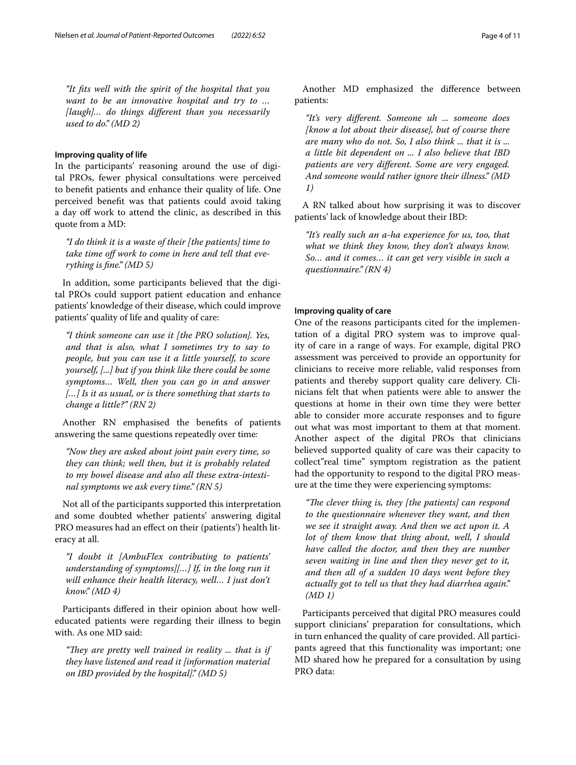*"It fts well with the spirit of the hospital that you want to be an innovative hospital and try to … [laugh]… do things diferent than you necessarily used to do." (MD 2)*

#### **Improving quality of life**

In the participants' reasoning around the use of digital PROs, fewer physical consultations were perceived to beneft patients and enhance their quality of life. One perceived beneft was that patients could avoid taking a day off work to attend the clinic, as described in this quote from a MD:

*"I do think it is a waste of their [the patients] time to*  take time off work to come in here and tell that eve*rything is fne." (MD 5)*

In addition, some participants believed that the digital PROs could support patient education and enhance patients' knowledge of their disease, which could improve patients' quality of life and quality of care:

*"I think someone can use it [the PRO solution]. Yes, and that is also, what I sometimes try to say to people, but you can use it a little yourself, to score yourself, [...] but if you think like there could be some symptoms… Well, then you can go in and answer […] Is it as usual, or is there something that starts to change a little?" (RN 2)*

Another RN emphasised the benefts of patients answering the same questions repeatedly over time*:*

*"Now they are asked about joint pain every time, so they can think; well then, but it is probably related to my bowel disease and also all these extra-intestinal symptoms we ask every time." (RN 5)*

Not all of the participants supported this interpretation and some doubted whether patients' answering digital PRO measures had an effect on their (patients') health literacy at all.

*"I doubt it [AmbuFlex contributing to patients' understanding of symptoms][…] If, in the long run it will enhance their health literacy, well… I just don't know." (MD 4)*

Participants difered in their opinion about how welleducated patients were regarding their illness to begin with. As one MD said:

"They are pretty well trained in reality ... that is if *they have listened and read it [information material on IBD provided by the hospital]." (MD 5)*

Another MD emphasized the diference between patients:

*"It's very diferent. Someone uh ... someone does [know a lot about their disease], but of course there are many who do not. So, I also think ... that it is ... a little bit dependent on ... I also believe that IBD patients are very diferent. Some are very engaged. And someone would rather ignore their illness." (MD 1)*

A RN talked about how surprising it was to discover patients' lack of knowledge about their IBD:

*"It's really such an a-ha experience for us, too, that what we think they know, they don't always know. So… and it comes… it can get very visible in such a questionnaire." (RN 4)*

# **Improving quality of care**

One of the reasons participants cited for the implementation of a digital PRO system was to improve quality of care in a range of ways. For example, digital PRO assessment was perceived to provide an opportunity for clinicians to receive more reliable, valid responses from patients and thereby support quality care delivery. Clinicians felt that when patients were able to answer the questions at home in their own time they were better able to consider more accurate responses and to fgure out what was most important to them at that moment. Another aspect of the digital PROs that clinicians believed supported quality of care was their capacity to collect"real time" symptom registration as the patient had the opportunity to respond to the digital PRO measure at the time they were experiencing symptoms:

"The clever thing is, they [the patients] can respond *to the questionnaire whenever they want, and then we see it straight away. And then we act upon it. A lot of them know that thing about, well, I should have called the doctor, and then they are number seven waiting in line and then they never get to it, and then all of a sudden 10 days went before they actually got to tell us that they had diarrhea again." (MD 1)*

Participants perceived that digital PRO measures could support clinicians' preparation for consultations, which in turn enhanced the quality of care provided. All participants agreed that this functionality was important; one MD shared how he prepared for a consultation by using PRO data: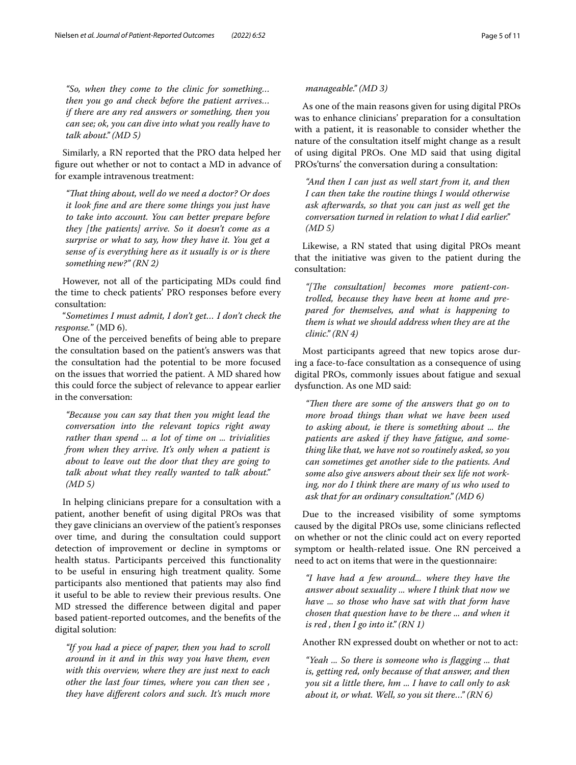*"So, when they come to the clinic for something… then you go and check before the patient arrives… if there are any red answers or something, then you can see; ok, you can dive into what you really have to talk about." (MD 5)*

Similarly, a RN reported that the PRO data helped her fgure out whether or not to contact a MD in advance of for example intravenous treatment:

*"Tat thing about, well do we need a doctor? Or does it look fne and are there some things you just have to take into account. You can better prepare before they [the patients] arrive. So it doesn't come as a surprise or what to say, how they have it. You get a sense of is everything here as it usually is or is there something new?" (RN 2)*

However, not all of the participating MDs could fnd the time to check patients' PRO responses before every consultation:

"*Sometimes I must admit, I don't get… I don't check the response.*" (MD 6).

One of the perceived benefts of being able to prepare the consultation based on the patient's answers was that the consultation had the potential to be more focused on the issues that worried the patient. A MD shared how this could force the subject of relevance to appear earlier in the conversation:

*"Because you can say that then you might lead the conversation into the relevant topics right away rather than spend ... a lot of time on ... trivialities from when they arrive. It's only when a patient is about to leave out the door that they are going to talk about what they really wanted to talk about." (MD 5)*

In helping clinicians prepare for a consultation with a patient, another beneft of using digital PROs was that they gave clinicians an overview of the patient's responses over time, and during the consultation could support detection of improvement or decline in symptoms or health status. Participants perceived this functionality to be useful in ensuring high treatment quality. Some participants also mentioned that patients may also fnd it useful to be able to review their previous results. One MD stressed the diference between digital and paper based patient-reported outcomes, and the benefts of the digital solution:

*"If you had a piece of paper, then you had to scroll around in it and in this way you have them, even with this overview, where they are just next to each other the last four times, where you can then see , they have diferent colors and such. It's much more* 

# *manageable." (MD 3)*

As one of the main reasons given for using digital PROs was to enhance clinicians' preparation for a consultation with a patient, it is reasonable to consider whether the nature of the consultation itself might change as a result of using digital PROs. One MD said that using digital PROs'turns' the conversation during a consultation:

*"And then I can just as well start from it, and then I can then take the routine things I would otherwise ask afterwards, so that you can just as well get the conversation turned in relation to what I did earlier." (MD 5)*

Likewise, a RN stated that using digital PROs meant that the initiative was given to the patient during the consultation:

"[The consultation] becomes more patient-con*trolled, because they have been at home and prepared for themselves, and what is happening to them is what we should address when they are at the clinic." (RN 4)*

Most participants agreed that new topics arose during a face-to-face consultation as a consequence of using digital PROs, commonly issues about fatigue and sexual dysfunction. As one MD said:

*"Then there are some of the answers that go on to more broad things than what we have been used to asking about, ie there is something about ... the patients are asked if they have fatigue, and something like that, we have not so routinely asked, so you can sometimes get another side to the patients. And some also give answers about their sex life not working, nor do I think there are many of us who used to ask that for an ordinary consultation." (MD 6)*

Due to the increased visibility of some symptoms caused by the digital PROs use, some clinicians refected on whether or not the clinic could act on every reported symptom or health-related issue. One RN perceived a need to act on items that were in the questionnaire:

*"I have had a few around... where they have the answer about sexuality ... where I think that now we have ... so those who have sat with that form have chosen that question have to be there ... and when it is red , then I go into it." (RN 1)*

Another RN expressed doubt on whether or not to act:

*"Yeah ... So there is someone who is fagging ... that is, getting red, only because of that answer, and then you sit a little there, hm ... I have to call only to ask about it, or what. Well, so you sit there…" (RN 6)*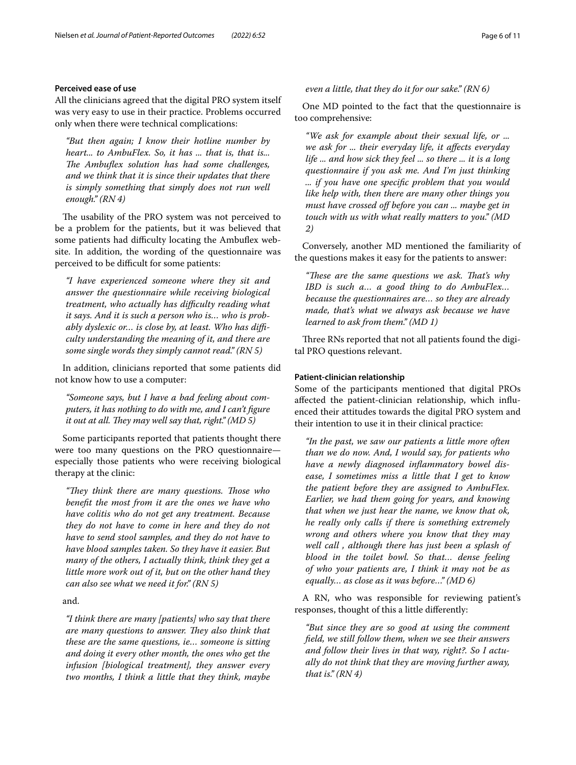# **Perceived ease of use**

All the clinicians agreed that the digital PRO system itself was very easy to use in their practice. Problems occurred only when there were technical complications:

*"But then again; I know their hotline number by heart... to AmbuFlex. So, it has ... that is, that is...*  The Ambuflex solution has had some challenges, *and we think that it is since their updates that there is simply something that simply does not run well enough." (RN 4)*

The usability of the PRO system was not perceived to be a problem for the patients, but it was believed that some patients had difficulty locating the Ambuflex website. In addition, the wording of the questionnaire was perceived to be difficult for some patients:

*"I have experienced someone where they sit and answer the questionnaire while receiving biological treatment, who actually has difculty reading what it says. And it is such a person who is… who is probably dyslexic or… is close by, at least. Who has difculty understanding the meaning of it, and there are some single words they simply cannot read." (RN 5)*

In addition, clinicians reported that some patients did not know how to use a computer:

*"Someone says, but I have a bad feeling about computers, it has nothing to do with me, and I can't fgure it out at all. They may well say that, right." (MD 5)* 

Some participants reported that patients thought there were too many questions on the PRO questionnaire especially those patients who were receiving biological therapy at the clinic:

*"Tey think there are many questions. Tose who beneft the most from it are the ones we have who have colitis who do not get any treatment. Because they do not have to come in here and they do not have to send stool samples, and they do not have to have blood samples taken. So they have it easier. But many of the others, I actually think, think they get a little more work out of it, but on the other hand they can also see what we need it for." (RN 5)*

## and.

*"I think there are many [patients] who say that there are many questions to answer. They also think that these are the same questions, ie… someone is sitting and doing it every other month, the ones who get the infusion [biological treatment], they answer every two months, I think a little that they think, maybe* 

*even a little, that they do it for our sake." (RN 6)*

One MD pointed to the fact that the questionnaire is too comprehensive:

*"We ask for example about their sexual life, or ... we ask for ... their everyday life, it afects everyday life ... and how sick they feel ... so there ... it is a long questionnaire if you ask me. And I'm just thinking ... if you have one specifc problem that you would like help with, then there are many other things you*  must have crossed off before you can ... maybe get in *touch with us with what really matters to you." (MD 2)*

Conversely, another MD mentioned the familiarity of the questions makes it easy for the patients to answer:

*"Tese are the same questions we ask. Tat's why IBD is such a… a good thing to do AmbuFlex… because the questionnaires are… so they are already made, that's what we always ask because we have learned to ask from them." (MD 1)*

Three RNs reported that not all patients found the digital PRO questions relevant.

#### **Patient‑clinician relationship**

Some of the participants mentioned that digital PROs afected the patient-clinician relationship, which infuenced their attitudes towards the digital PRO system and their intention to use it in their clinical practice:

*"In the past, we saw our patients a little more often than we do now. And, I would say, for patients who have a newly diagnosed infammatory bowel disease, I sometimes miss a little that I get to know the patient before they are assigned to AmbuFlex. Earlier, we had them going for years, and knowing that when we just hear the name, we know that ok, he really only calls if there is something extremely wrong and others where you know that they may well call , although there has just been a splash of blood in the toilet bowl. So that… dense feeling of who your patients are, I think it may not be as equally… as close as it was before…" (MD 6)*

A RN, who was responsible for reviewing patient's responses, thought of this a little diferently:

*"But since they are so good at using the comment feld, we still follow them, when we see their answers and follow their lives in that way, right?. So I actually do not think that they are moving further away, that is." (RN 4)*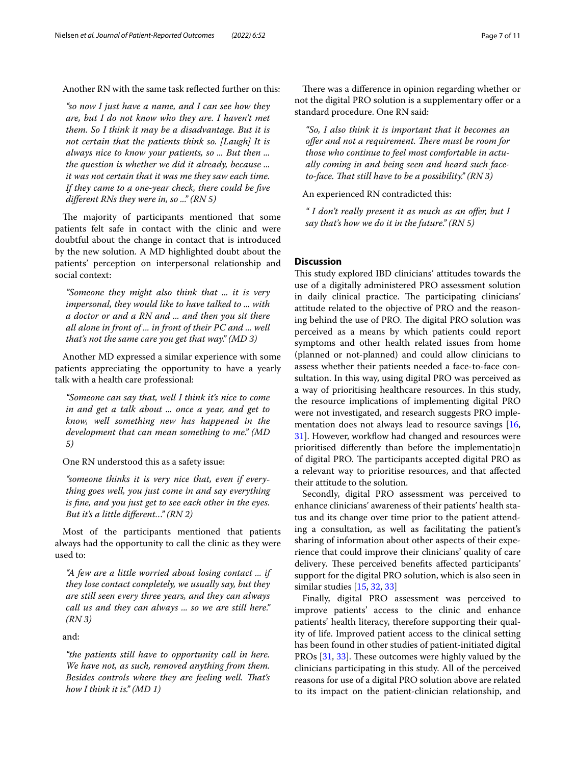Another RN with the same task refected further on this:

*"so now I just have a name, and I can see how they are, but I do not know who they are. I haven't met them. So I think it may be a disadvantage. But it is not certain that the patients think so. [Laugh] It is always nice to know your patients, so ... But then ... the question is whether we did it already, because ... it was not certain that it was me they saw each time. If they came to a one-year check, there could be fve diferent RNs they were in, so ..." (RN 5)*

The majority of participants mentioned that some patients felt safe in contact with the clinic and were doubtful about the change in contact that is introduced by the new solution. A MD highlighted doubt about the patients' perception on interpersonal relationship and social context:

*"Someone they might also think that ... it is very impersonal, they would like to have talked to ... with a doctor or and a RN and ... and then you sit there all alone in front of ... in front of their PC and ... well that's not the same care you get that way." (MD 3)*

Another MD expressed a similar experience with some patients appreciating the opportunity to have a yearly talk with a health care professional:

*"Someone can say that, well I think it's nice to come in and get a talk about ... once a year, and get to know, well something new has happened in the development that can mean something to me." (MD 5)*

One RN understood this as a safety issue:

*"someone thinks it is very nice that, even if everything goes well, you just come in and say everything is fne, and you just get to see each other in the eyes. But it's a little diferent…" (RN 2)*

Most of the participants mentioned that patients always had the opportunity to call the clinic as they were used to:

*"A few are a little worried about losing contact ... if they lose contact completely, we usually say, but they are still seen every three years, and they can always call us and they can always ... so we are still here." (RN 3)*

and:

*"the patients still have to opportunity call in here. We have not, as such, removed anything from them. Besides controls where they are feeling well. Tat's how I think it is." (MD 1)*

There was a difference in opinion regarding whether or not the digital PRO solution is a supplementary offer or a standard procedure. One RN said:

*"So, I also think it is important that it becomes an offer and not a requirement. There must be room for those who continue to feel most comfortable in actually coming in and being seen and heard such faceto-face. Tat still have to be a possibility." (RN 3)*

An experienced RN contradicted this:

*" I don't really present it as much as an ofer, but I say that's how we do it in the future." (RN 5)*

# **Discussion**

This study explored IBD clinicians' attitudes towards the use of a digitally administered PRO assessment solution in daily clinical practice. The participating clinicians' attitude related to the objective of PRO and the reasoning behind the use of PRO. The digital PRO solution was perceived as a means by which patients could report symptoms and other health related issues from home (planned or not-planned) and could allow clinicians to assess whether their patients needed a face-to-face consultation. In this way, using digital PRO was perceived as a way of prioritising healthcare resources. In this study, the resource implications of implementing digital PRO were not investigated, and research suggests PRO imple-mentation does not always lead to resource savings [[16](#page-9-13), [31\]](#page-10-13). However, workflow had changed and resources were prioritised diferently than before the implementatio]n of digital PRO. The participants accepted digital PRO as a relevant way to prioritise resources, and that afected their attitude to the solution.

Secondly, digital PRO assessment was perceived to enhance clinicians' awareness of their patients' health status and its change over time prior to the patient attending a consultation, as well as facilitating the patient's sharing of information about other aspects of their experience that could improve their clinicians' quality of care delivery. These perceived benefits affected participants' support for the digital PRO solution, which is also seen in similar studies [\[15](#page-9-12), [32](#page-10-14), [33\]](#page-10-15)

Finally, digital PRO assessment was perceived to improve patients' access to the clinic and enhance patients' health literacy, therefore supporting their quality of life. Improved patient access to the clinical setting has been found in other studies of patient-initiated digital PROs [[31](#page-10-13), [33\]](#page-10-15). These outcomes were highly valued by the clinicians participating in this study. All of the perceived reasons for use of a digital PRO solution above are related to its impact on the patient-clinician relationship, and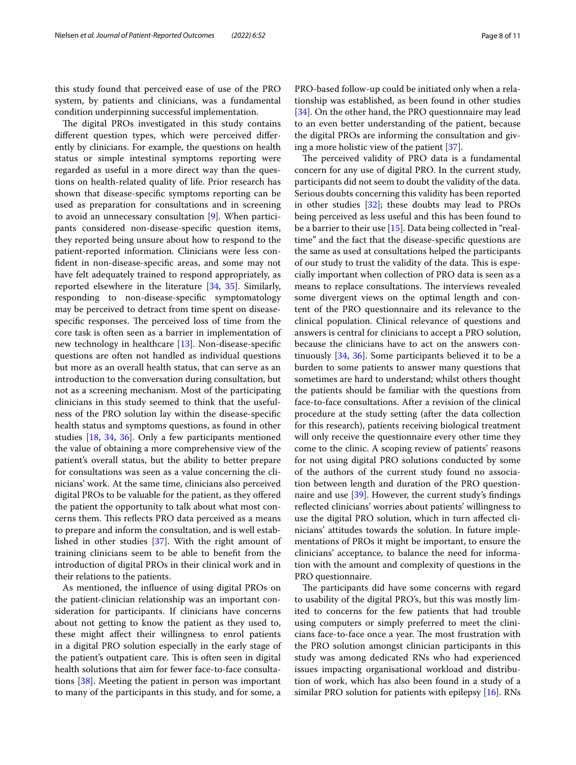this study found that perceived ease of use of the PRO system, by patients and clinicians, was a fundamental condition underpinning successful implementation.

The digital PROs investigated in this study contains diferent question types, which were perceived diferently by clinicians. For example, the questions on health status or simple intestinal symptoms reporting were regarded as useful in a more direct way than the questions on health-related quality of life. Prior research has shown that disease-specifc symptoms reporting can be used as preparation for consultations and in screening to avoid an unnecessary consultation [[9\]](#page-9-7). When participants considered non-disease-specifc question items, they reported being unsure about how to respond to the patient-reported information. Clinicians were less confdent in non-disease-specifc areas, and some may not have felt adequately trained to respond appropriately, as reported elsewhere in the literature [\[34](#page-10-16), [35\]](#page-10-17). Similarly, responding to non-disease-specifc symptomatology may be perceived to detract from time spent on diseasespecific responses. The perceived loss of time from the core task is often seen as a barrier in implementation of new technology in healthcare [[13](#page-9-10)]. Non-disease-specifc questions are often not handled as individual questions but more as an overall health status, that can serve as an introduction to the conversation during consultation, but not as a screening mechanism. Most of the participating clinicians in this study seemed to think that the usefulness of the PRO solution lay within the disease-specifc health status and symptoms questions, as found in other studies [\[18](#page-10-0), [34,](#page-10-16) [36\]](#page-10-18). Only a few participants mentioned the value of obtaining a more comprehensive view of the patient's overall status, but the ability to better prepare for consultations was seen as a value concerning the clinicians' work. At the same time, clinicians also perceived digital PROs to be valuable for the patient, as they offered the patient the opportunity to talk about what most concerns them. This reflects PRO data perceived as a means to prepare and inform the consultation, and is well established in other studies [\[37\]](#page-10-19). With the right amount of training clinicians seem to be able to beneft from the introduction of digital PROs in their clinical work and in their relations to the patients.

As mentioned, the infuence of using digital PROs on the patient-clinician relationship was an important consideration for participants. If clinicians have concerns about not getting to know the patient as they used to, these might afect their willingness to enrol patients in a digital PRO solution especially in the early stage of the patient's outpatient care. This is often seen in digital health solutions that aim for fewer face-to-face consultations [\[38](#page-10-20)]. Meeting the patient in person was important to many of the participants in this study, and for some, a

PRO-based follow-up could be initiated only when a relationship was established, as been found in other studies [[34\]](#page-10-16). On the other hand, the PRO questionnaire may lead to an even better understanding of the patient, because the digital PROs are informing the consultation and giving a more holistic view of the patient [[37](#page-10-19)].

The perceived validity of PRO data is a fundamental concern for any use of digital PRO. In the current study, participants did not seem to doubt the validity of the data. Serious doubts concerning this validity has been reported in other studies [\[32](#page-10-14)]; these doubts may lead to PROs being perceived as less useful and this has been found to be a barrier to their use [[15\]](#page-9-12). Data being collected in "realtime" and the fact that the disease-specifc questions are the same as used at consultations helped the participants of our study to trust the validity of the data. This is especially important when collection of PRO data is seen as a means to replace consultations. The interviews revealed some divergent views on the optimal length and content of the PRO questionnaire and its relevance to the clinical population. Clinical relevance of questions and answers is central for clinicians to accept a PRO solution, because the clinicians have to act on the answers continuously [\[34](#page-10-16), [36\]](#page-10-18). Some participants believed it to be a burden to some patients to answer many questions that sometimes are hard to understand; whilst others thought the patients should be familiar with the questions from face-to-face consultations. After a revision of the clinical procedure at the study setting (after the data collection for this research), patients receiving biological treatment will only receive the questionnaire every other time they come to the clinic. A scoping review of patients' reasons for not using digital PRO solutions conducted by some of the authors of the current study found no association between length and duration of the PRO questionnaire and use [\[39](#page-10-21)]. However, the current study's fndings refected clinicians' worries about patients' willingness to use the digital PRO solution, which in turn afected clinicians' attitudes towards the solution. In future implementations of PROs it might be important, to ensure the clinicians' acceptance, to balance the need for information with the amount and complexity of questions in the PRO questionnaire.

The participants did have some concerns with regard to usability of the digital PRO's, but this was mostly limited to concerns for the few patients that had trouble using computers or simply preferred to meet the clinicians face-to-face once a year. The most frustration with the PRO solution amongst clinician participants in this study was among dedicated RNs who had experienced issues impacting organisational workload and distribution of work, which has also been found in a study of a similar PRO solution for patients with epilepsy [\[16](#page-9-13)]. RNs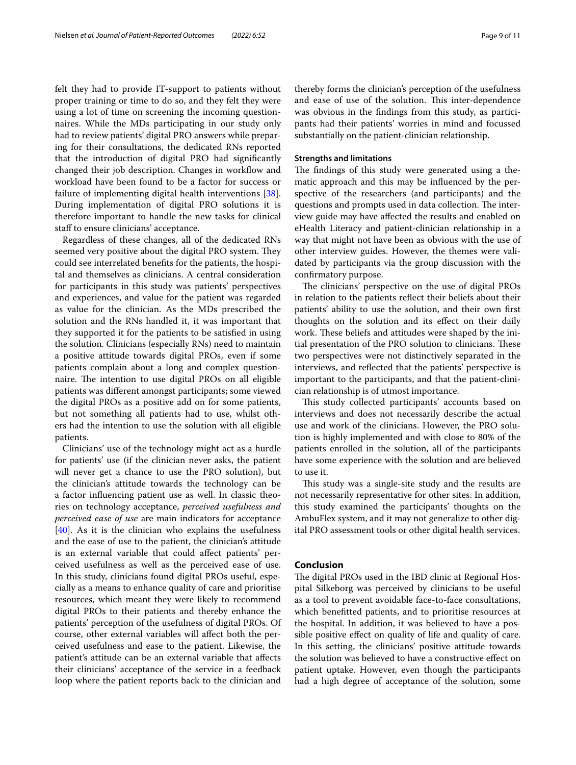felt they had to provide IT-support to patients without proper training or time to do so, and they felt they were using a lot of time on screening the incoming questionnaires. While the MDs participating in our study only had to review patients' digital PRO answers while preparing for their consultations, the dedicated RNs reported that the introduction of digital PRO had signifcantly changed their job description. Changes in workfow and workload have been found to be a factor for success or failure of implementing digital health interventions [\[38](#page-10-20)]. During implementation of digital PRO solutions it is therefore important to handle the new tasks for clinical staff to ensure clinicians' acceptance.

Regardless of these changes, all of the dedicated RNs seemed very positive about the digital PRO system. They could see interrelated benefts for the patients, the hospital and themselves as clinicians. A central consideration for participants in this study was patients' perspectives and experiences, and value for the patient was regarded as value for the clinician. As the MDs prescribed the solution and the RNs handled it, it was important that they supported it for the patients to be satisfed in using the solution. Clinicians (especially RNs) need to maintain a positive attitude towards digital PROs, even if some patients complain about a long and complex questionnaire. The intention to use digital PROs on all eligible patients was diferent amongst participants; some viewed the digital PROs as a positive add on for some patients, but not something all patients had to use, whilst others had the intention to use the solution with all eligible patients.

Clinicians' use of the technology might act as a hurdle for patients' use (if the clinician never asks, the patient will never get a chance to use the PRO solution), but the clinician's attitude towards the technology can be a factor infuencing patient use as well. In classic theories on technology acceptance, *perceived usefulness and perceived ease of use* are main indicators for acceptance [[40\]](#page-10-22). As it is the clinician who explains the usefulness and the ease of use to the patient, the clinician's attitude is an external variable that could afect patients' perceived usefulness as well as the perceived ease of use. In this study, clinicians found digital PROs useful, especially as a means to enhance quality of care and prioritise resources, which meant they were likely to recommend digital PROs to their patients and thereby enhance the patients' perception of the usefulness of digital PROs. Of course, other external variables will afect both the perceived usefulness and ease to the patient. Likewise, the patient's attitude can be an external variable that afects their clinicians' acceptance of the service in a feedback loop where the patient reports back to the clinician and thereby forms the clinician's perception of the usefulness and ease of use of the solution. This inter-dependence was obvious in the fndings from this study, as participants had their patients' worries in mind and focussed substantially on the patient-clinician relationship.

#### **Strengths and limitations**

The findings of this study were generated using a thematic approach and this may be infuenced by the perspective of the researchers (and participants) and the questions and prompts used in data collection. The interview guide may have afected the results and enabled on eHealth Literacy and patient-clinician relationship in a way that might not have been as obvious with the use of other interview guides. However, the themes were validated by participants via the group discussion with the confrmatory purpose.

The clinicians' perspective on the use of digital PROs in relation to the patients refect their beliefs about their patients' ability to use the solution, and their own frst thoughts on the solution and its efect on their daily work. These beliefs and attitudes were shaped by the initial presentation of the PRO solution to clinicians. These two perspectives were not distinctively separated in the interviews, and refected that the patients' perspective is important to the participants, and that the patient-clinician relationship is of utmost importance.

This study collected participants' accounts based on interviews and does not necessarily describe the actual use and work of the clinicians. However, the PRO solution is highly implemented and with close to 80% of the patients enrolled in the solution, all of the participants have some experience with the solution and are believed to use it.

This study was a single-site study and the results are not necessarily representative for other sites. In addition, this study examined the participants' thoughts on the AmbuFlex system, and it may not generalize to other digital PRO assessment tools or other digital health services.

#### **Conclusion**

The digital PROs used in the IBD clinic at Regional Hospital Silkeborg was perceived by clinicians to be useful as a tool to prevent avoidable face-to-face consultations, which beneftted patients, and to prioritise resources at the hospital. In addition, it was believed to have a possible positive efect on quality of life and quality of care. In this setting, the clinicians' positive attitude towards the solution was believed to have a constructive efect on patient uptake. However, even though the participants had a high degree of acceptance of the solution, some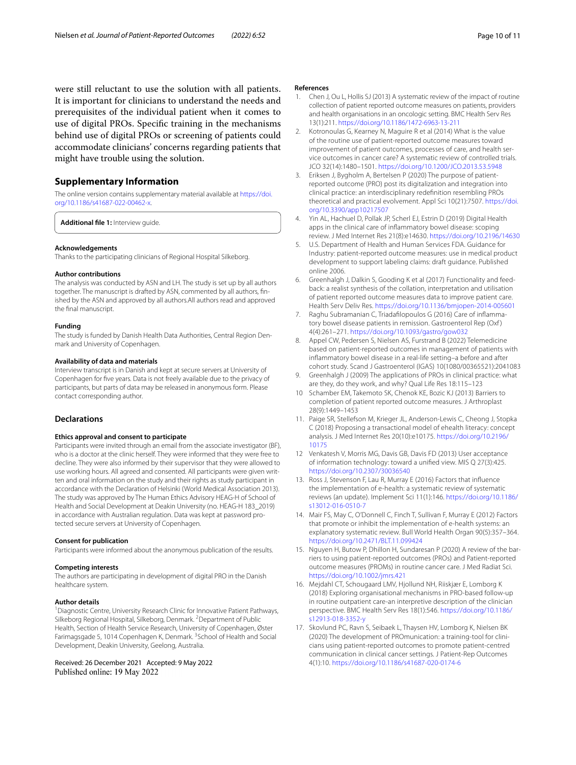were still reluctant to use the solution with all patients. It is important for clinicians to understand the needs and prerequisites of the individual patient when it comes to use of digital PROs. Specifc training in the mechanisms behind use of digital PROs or screening of patients could accommodate clinicians' concerns regarding patients that might have trouble using the solution.

# **Supplementary Information**

The online version contains supplementary material available at [https://doi.](https://doi.org/10.1186/s41687-022-00462-x) [org/10.1186/s41687-022-00462-x.](https://doi.org/10.1186/s41687-022-00462-x)

<span id="page-9-15"></span>**Additional fle 1:** Interview guide.

#### **Acknowledgements**

Thanks to the participating clinicians of Regional Hospital Silkeborg.

#### **Author contributions**

The analysis was conducted by ASN and LH. The study is set up by all authors together. The manuscript is drafted by ASN, commented by all authors, fnished by the ASN and approved by all authors.All authors read and approved the fnal manuscript.

#### **Funding**

The study is funded by Danish Health Data Authorities, Central Region Denmark and University of Copenhagen.

#### **Availability of data and materials**

Interview transcript is in Danish and kept at secure servers at University of Copenhagen for fve years. Data is not freely available due to the privacy of participants, but parts of data may be released in anonymous form. Please contact corresponding author.

## **Declarations**

#### **Ethics approval and consent to participate**

Participants were invited through an email from the associate investigator (BF), who is a doctor at the clinic herself. They were informed that they were free to decline. They were also informed by their supervisor that they were allowed to use working hours. All agreed and consented. All participants were given written and oral information on the study and their rights as study participant in accordance with the Declaration of Helsinki (World Medical Association 2013). The study was approved by The Human Ethics Advisory HEAG-H of School of Health and Social Development at Deakin University (no. HEAG-H 183\_2019) in accordance with Australian regulation. Data was kept at password protected secure servers at University of Copenhagen.

#### **Consent for publication**

Participants were informed about the anonymous publication of the results.

#### **Competing interests**

The authors are participating in development of digital PRO in the Danish healthcare system.

#### **Author details**

<sup>1</sup> Diagnostic Centre, University Research Clinic for Innovative Patient Pathways, Silkeborg Regional Hospital, Silkeborg, Denmark. <sup>2</sup> Department of Public Health, Section of Health Service Research, University of Copenhagen, Øster Farimagsgade 5, 1014 Copenhagen K, Denmark. <sup>3</sup>School of Health and Social Development, Deakin University, Geelong, Australia.

Received: 26 December 2021 Accepted: 9 May 2022 Published online: 19 May 2022

#### **References**

- <span id="page-9-0"></span>1. Chen J, Ou L, Hollis SJ (2013) A systematic review of the impact of routine collection of patient reported outcome measures on patients, providers and health organisations in an oncologic setting. BMC Health Serv Res 13(1):211. <https://doi.org/10.1186/1472-6963-13-211>
- <span id="page-9-6"></span>2. Kotronoulas G, Kearney N, Maguire R et al (2014) What is the value of the routine use of patient-reported outcome measures toward improvement of patient outcomes, processes of care, and health service outcomes in cancer care? A systematic review of controlled trials. JCO 32(14):1480–1501.<https://doi.org/10.1200/JCO.2013.53.5948>
- 3. Eriksen J, Bygholm A, Bertelsen P (2020) The purpose of patientreported outcome (PRO) post its digitalization and integration into clinical practice: an interdisciplinary redefnition resembling PROs theoretical and practical evolvement. Appl Sci 10(21):7507. [https://doi.](https://doi.org/10.3390/app10217507) [org/10.3390/app10217507](https://doi.org/10.3390/app10217507)
- <span id="page-9-1"></span>4. Yin AL, Hachuel D, Pollak JP, Scherl EJ, Estrin D (2019) Digital Health apps in the clinical care of infammatory bowel disease: scoping review. J Med Internet Res 21(8):e14630. <https://doi.org/10.2196/14630>
- <span id="page-9-2"></span>5. U.S. Department of Health and Human Services FDA. Guidance for Industry: patient-reported outcome measures: use in medical product development to support labeling claims: draft guidance. Published online 2006.
- <span id="page-9-3"></span>6. Greenhalgh J, Dalkin S, Gooding K et al (2017) Functionality and feedback: a realist synthesis of the collation, interpretation and utilisation of patient reported outcome measures data to improve patient care. Health Serv Deliv Res. <https://doi.org/10.1136/bmjopen-2014-005601>
- <span id="page-9-4"></span>7. Raghu Subramanian C, Triadaflopoulos G (2016) Care of infammatory bowel disease patients in remission. Gastroenterol Rep (Oxf) 4(4):261–271.<https://doi.org/10.1093/gastro/gow032>
- <span id="page-9-5"></span>8. Appel CW, Pedersen S, Nielsen AS, Furstrand B (2022) Telemedicine based on patient-reported outcomes in management of patients with infammatory bowel disease in a real-life setting–a before and after cohort study. Scand J Gastroenterol (IGAS) 10(1080/00365521):2041083
- <span id="page-9-7"></span>9. Greenhalgh J (2009) The applications of PROs in clinical practice: what are they, do they work, and why? Qual Life Res 18:115–123
- <span id="page-9-8"></span>10 Schamber EM, Takemoto SK, Chenok KE, Bozic KJ (2013) Barriers to completion of patient reported outcome measures. J Arthroplast 28(9):1449–1453
- <span id="page-9-9"></span>11. Paige SR, Stellefson M, Krieger JL, Anderson-Lewis C, Cheong J, Stopka C (2018) Proposing a transactional model of ehealth literacy: concept analysis. J Med Internet Res 20(10):e10175. [https://doi.org/10.2196/](https://doi.org/10.2196/10175) [10175](https://doi.org/10.2196/10175)
- 12 Venkatesh V, Morris MG, Davis GB, Davis FD (2013) User acceptance of information technology: toward a unifed view. MIS Q 27(3):425. <https://doi.org/10.2307/30036540>
- <span id="page-9-10"></span>13. Ross J, Stevenson F, Lau R, Murray E (2016) Factors that infuence the implementation of e-health: a systematic review of systematic reviews (an update). Implement Sci 11(1):146. [https://doi.org/10.1186/](https://doi.org/10.1186/s13012-016-0510-7) [s13012-016-0510-7](https://doi.org/10.1186/s13012-016-0510-7)
- <span id="page-9-11"></span>14. Mair FS, May C, O'Donnell C, Finch T, Sullivan F, Murray E (2012) Factors that promote or inhibit the implementation of e-health systems: an explanatory systematic review. Bull World Health Organ 90(5):357–364. <https://doi.org/10.2471/BLT.11.099424>
- <span id="page-9-12"></span>15. Nguyen H, Butow P, Dhillon H, Sundaresan P (2020) A review of the barriers to using patient-reported outcomes (PROs) and Patient-reported outcome measures (PROMs) in routine cancer care. J Med Radiat Sci. <https://doi.org/10.1002/jmrs.421>
- <span id="page-9-13"></span>16. Mejdahl CT, Schougaard LMV, Hjollund NH, Riiskjær E, Lomborg K (2018) Exploring organisational mechanisms in PRO-based follow-up in routine outpatient care-an interpretive description of the clinician perspective. BMC Health Serv Res 18(1):546. [https://doi.org/10.1186/](https://doi.org/10.1186/s12913-018-3352-y) [s12913-018-3352-y](https://doi.org/10.1186/s12913-018-3352-y)
- <span id="page-9-14"></span>17. Skovlund PC, Ravn S, Seibaek L, Thaysen HV, Lomborg K, Nielsen BK (2020) The development of PROmunication: a training-tool for clinicians using patient-reported outcomes to promote patient-centred communication in clinical cancer settings. J Patient-Rep Outcomes 4(1):10. <https://doi.org/10.1186/s41687-020-0174-6>